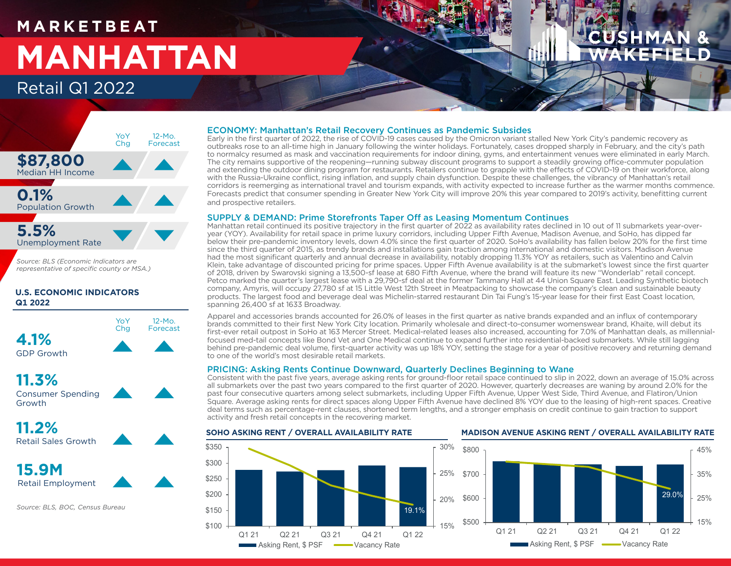### **M A R K E T B E AT**

# **MANHATTAN** Retail Q1 2022

### **SHMAN &** KEFH

### **\$87,800** Median HH Income **0.1%** Population Growth **5.5%** Unemployment Rate 12-Mo. Forecast YoY **Chg**

*Source: BLS (Economic Indicators are representative of specific county or MSA.)*

### **U.S. ECONOMIC INDICATORS Q1 2022**



**11.3%** Consumer Spending Growth

**11.2%** Retail Sales Growth

**15.9M** Retail Employment

*Source: BLS, BOC, Census Bureau*

### ECONOMY: Manhattan's Retail Recovery Continues as Pandemic Subsides

Early in the first quarter of 2022, the rise of COVID-19 cases caused by the Omicron variant stalled New York City's pandemic recovery as outbreaks rose to an all-time high in January following the winter holidays. Fortunately, cases dropped sharply in February, and the city's path to normalcy resumed as mask and vaccination requirements for indoor dining, gyms, and entertainment venues were eliminated in early March. The city remains supportive of the reopening—running subway discount programs to support a steadily growing office-commuter population and extending the outdoor dining program for restaurants. Retailers continue to grapple with the effects of COVID-19 on their workforce, along with the Russia-Ukraine conflict, rising inflation, and supply chain dysfunction. Despite these challenges, the vibrancy of Manhattan's retail corridors is reemerging as international travel and tourism expands, with activity expected to increase further as the warmer months commence. Forecasts predict that consumer spending in Greater New York City will improve 20% this year compared to 2019's activity, benefitting current and prospective retailers.

### SUPPLY & DEMAND: Prime Storefronts Taper Off as Leasing Momentum Continues

Manhattan retail continued its positive trajectory in the first quarter of 2022 as availability rates declined in 10 out of 11 submarkets year-overyear (YOY). Availability for retail space in prime luxury corridors, including Upper Fifth Avenue, Madison Avenue, and SoHo, has dipped far below their pre-pandemic inventory levels, down 4.0% since the first quarter of 2020. SoHo's availability has fallen below 20% for the first time since the third quarter of 2015, as trendy brands and installations gain traction among international and domestic visitors. Madison Avenue had the most significant quarterly and annual decrease in availability, notably dropping 11.3% YOY as retailers, such as Valentino and Calvin Klein, take advantage of discounted pricing for prime spaces. Upper Fifth Avenue availability is at the submarket's lowest since the first quarter of 2018, driven by Swarovski signing a 13,500-sf lease at 680 Fifth Avenue, where the brand will feature its new "Wonderlab" retail concept. Petco marked the quarter's largest lease with a 29,790-sf deal at the former Tammany Hall at 44 Union Square East. Leading Synthetic biotech company, Amyris, will occupy 27,780 sf at 15 Little West 12th Street in Meatpacking to showcase the company's clean and sustainable beauty products. The largest food and beverage deal was Michelin-starred restaurant Din Tai Fung's 15-year lease for their first East Coast location, spanning 26,400 sf at 1633 Broadway.

Apparel and accessories brands accounted for 26.0% of leases in the first quarter as native brands expanded and an influx of contemporary brands committed to their first New York City location. Primarily wholesale and direct-to-consumer womenswear brand, Khaite, will debut its first-ever retail outpost in SoHo at 163 Mercer Street. Medical-related leases also increased, accounting for 7.0% of Manhattan deals, as millennialfocused med-tail concepts like Bond Vet and One Medical continue to expand further into residential-backed submarkets. While still lagging behind pre-pandemic deal volume, first-quarter activity was up 18% YOY, setting the stage for a year of positive recovery and returning demand to one of the world's most desirable retail markets.

### PRICING: Asking Rents Continue Downward, Quarterly Declines Beginning to Wane

Consistent with the past five years, average asking rents for ground-floor retail space continued to slip in 2022, down an average of 15.0% across all submarkets over the past two years compared to the first quarter of 2020. However, quarterly decreases are waning by around 2.0% for the past four consecutive quarters among select submarkets, including Upper Fifth Avenue, Upper West Side, Third Avenue, and Flatiron/Union Square. Average asking rents for direct spaces along Upper Fifth Avenue have declined 8% YOY due to the leasing of high-rent spaces. Creative deal terms such as percentage-rent clauses, shortened term lengths, and a stronger emphasis on credit continue to gain traction to support activity and fresh retail concepts in the recovering market.

19.1% 15% 20% 25% 30% \$100 \$150 \$200 \$250 \$300 \$350 Q1 21 Q2 21 Q3 21 Q4 21 Q1 22 **Asking Rent, \$ PSF**  $\longrightarrow$  Vacancy Rate

### **SOHO ASKING RENT / OVERALL AVAILABILITY RATE MADISON AVENUE ASKING RENT / OVERALL AVAILABILITY RATE**